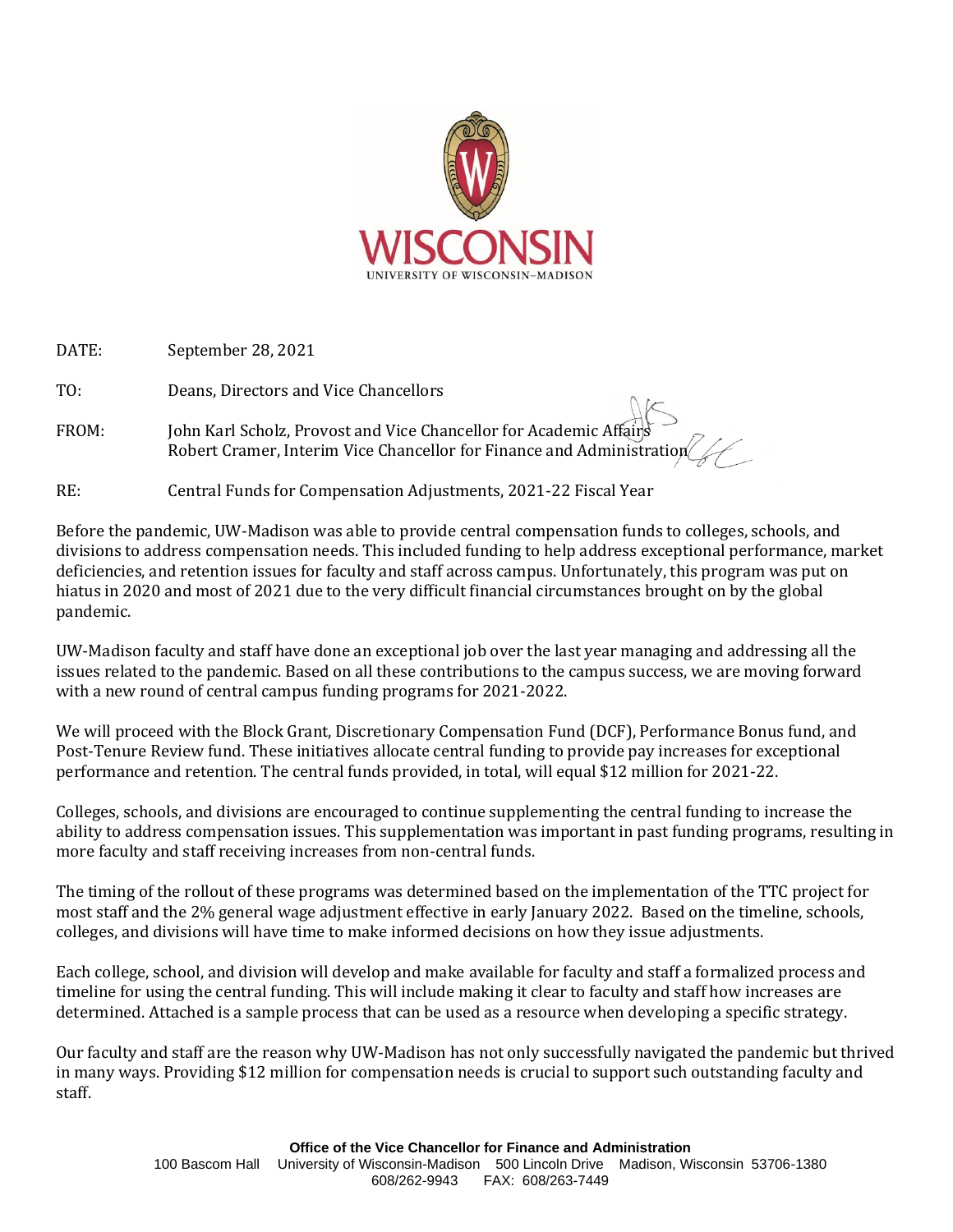

DATE: September 28, 2021

TO: Deans, Directors and Vice Chancellors

FROM: John Karl Scholz, Provost and Vice Chancellor for Academic Affairs Robert Cramer, Interim Vice Chancellor for Finance and Administration

#### RE: Central Funds for Compensation Adjustments, 2021-22 Fiscal Year

Before the pandemic, UW-Madison was able to provide central compensation funds to colleges, schools, and divisions to address compensation needs. This included funding to help address exceptional performance, market deficiencies, and retention issues for faculty and staff across campus. Unfortunately, this program was put on hiatus in 2020 and most of 2021 due to the very difficult financial circumstances brought on by the global pandemic.

UW-Madison faculty and staff have done an exceptional job over the last year managing and addressing all the issues related to the pandemic. Based on all these contributions to the campus success, we are moving forward with a new round of central campus funding programs for 2021-2022.

We will proceed with the Block Grant, Discretionary Compensation Fund (DCF), Performance Bonus fund, and Post-Tenure Review fund. These initiatives allocate central funding to provide pay increases for exceptional performance and retention. The central funds provided, in total, will equal \$12 million for 2021-22.

Colleges, schools, and divisions are encouraged to continue supplementing the central funding to increase the ability to address compensation issues. This supplementation was important in past funding programs, resulting in more faculty and staff receiving increases from non-central funds.

The timing of the rollout of these programs was determined based on the implementation of the TTC project for most staff and the 2% general wage adjustment effective in early January 2022. Based on the timeline, schools, colleges, and divisions will have time to make informed decisions on how they issue adjustments.

Each college, school, and division will develop and make available for faculty and staff a formalized process and timeline for using the central funding. This will include making it clear to faculty and staff how increases are determined. Attached is a sample process that can be used as a resource when developing a specific strategy.

Our faculty and staff are the reason why UW-Madison has not only successfully navigated the pandemic but thrived in many ways. Providing \$12 million for compensation needs is crucial to support such outstanding faculty and staff.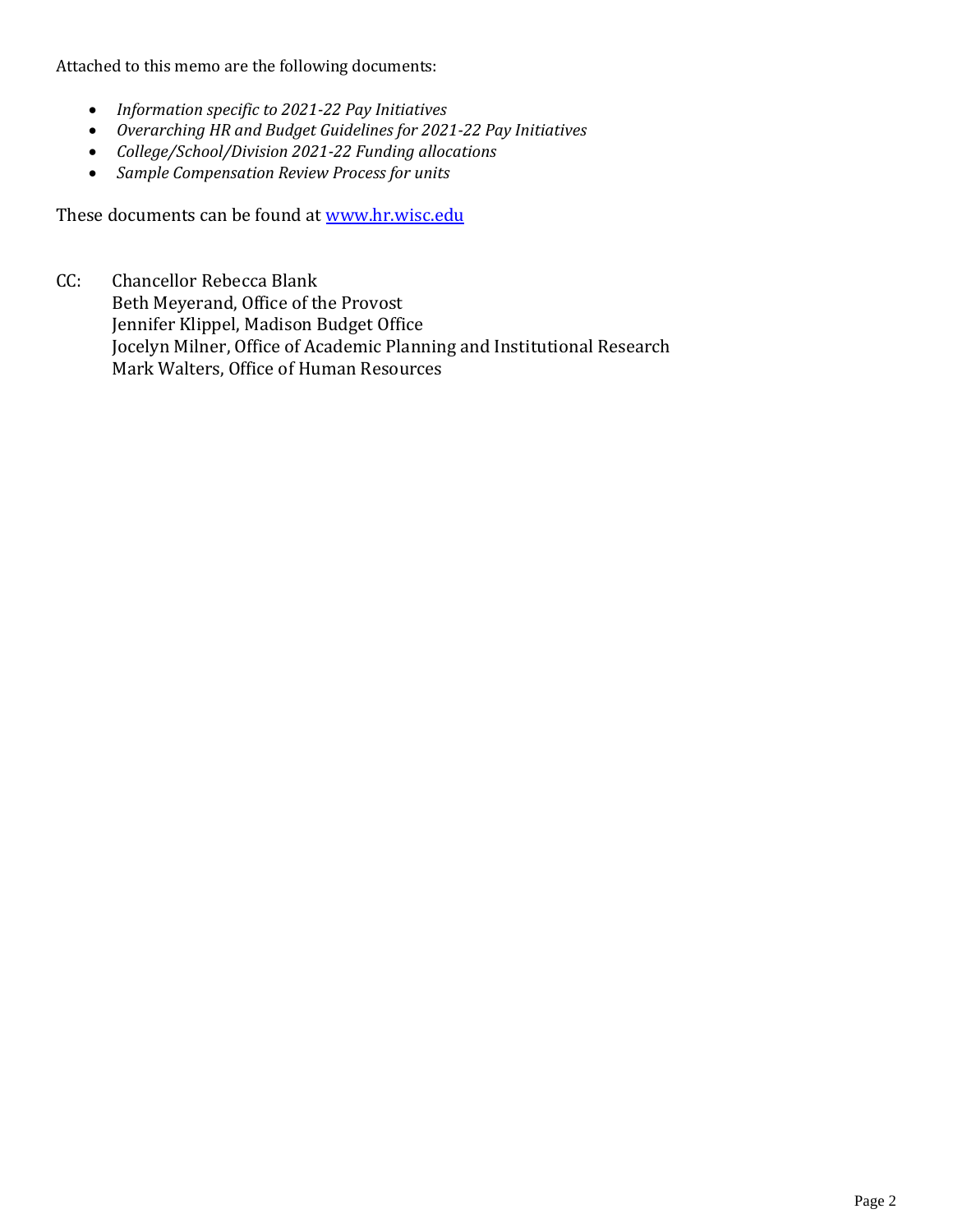Attached to this memo are the following documents:

- *Information specific to 2021-22 Pay Initiatives*
- *Overarching HR and Budget Guidelines for 2021-22 Pay Initiatives*
- *College/School/Division 2021-22 Funding allocations*
- *Sample Compensation Review Process for units*

These documents can be found at [www.hr.wisc.edu](http://www.hr.wisc.edu/)

CC: Chancellor Rebecca Blank Beth Meyerand, Office of the Provost Jennifer Klippel, Madison Budget Office Jocelyn Milner, Office of Academic Planning and Institutional Research Mark Walters, Office of Human Resources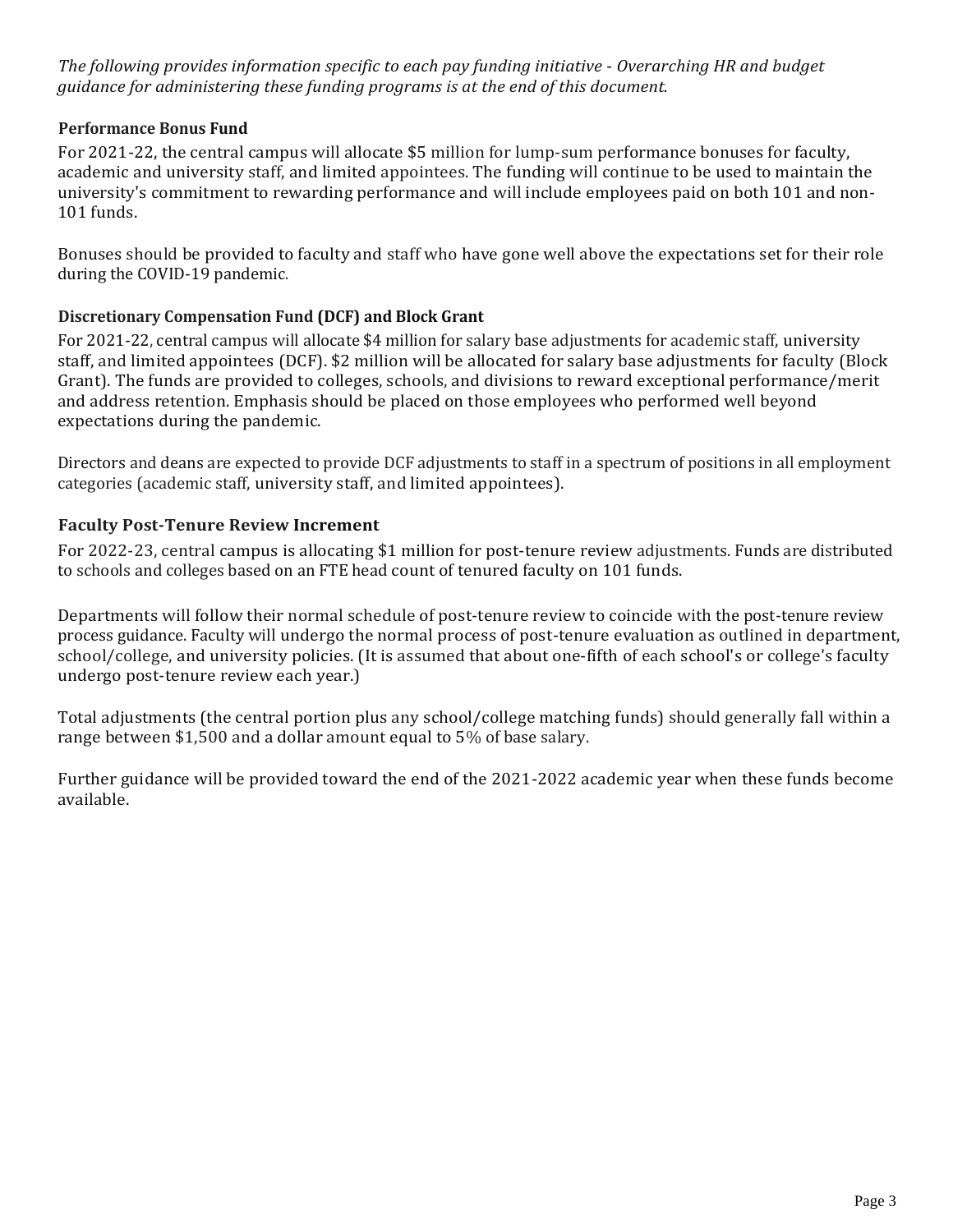*The following provides information specific to each pay funding initiative* - *Overarching HR and budget guidance for administering these funding programs is at the end of this document.*

# **Performance Bonus Fund**

For 2021-22, the central campus will allocate \$5 million for lump-sum performance bonuses for faculty, academic and university staff, and limited appointees. The funding will continue to be used to maintain the university's commitment to rewarding performance and will include employees paid on both 101 and non-101 funds.

Bonuses should be provided to faculty and staff who have gone well above the expectations set for their role during the COVID-19 pandemic.

## **Discretionary Compensation Fund (DCF) and Block Grant**

For 2021-22, central campus will allocate \$4 million for salary base adjustments for academic staff, university staff, and limited appointees (DCF). \$2 million will be allocated for salary base adjustments for faculty (Block Grant). The funds are provided to colleges, schools, and divisions to reward exceptional performance/merit and address retention. Emphasis should be placed on those employees who performed well beyond expectations during the pandemic.

Directors and deans are expected to provide DCF adjustments to staff in a spectrum of positions in all employment categories (academic staff, university staff, and limited appointees).

#### **Faculty Post-Tenure Review Increment**

For 2022-23, central campus is allocating \$1 million for post-tenure review adjustments. Funds are distributed to schools and colleges based on an FTE head count of tenured faculty on 101 funds.

Departments will follow their normal schedule of post-tenure review to coincide with the post-tenure review process guidance. Faculty will undergo the normal process of post-tenure evaluation as outlined in department, school/college, and university policies. (It is assumed that about one-fifth of each school's or college's faculty undergo post-tenure review each year.)

Total adjustments (the central portion plus any school/college matching funds) should generally fall within a range between \$1,500 and a dollar amount equal to 5% of base salary.

Further guidance will be provided toward the end of the 2021-2022 academic year when these funds become available.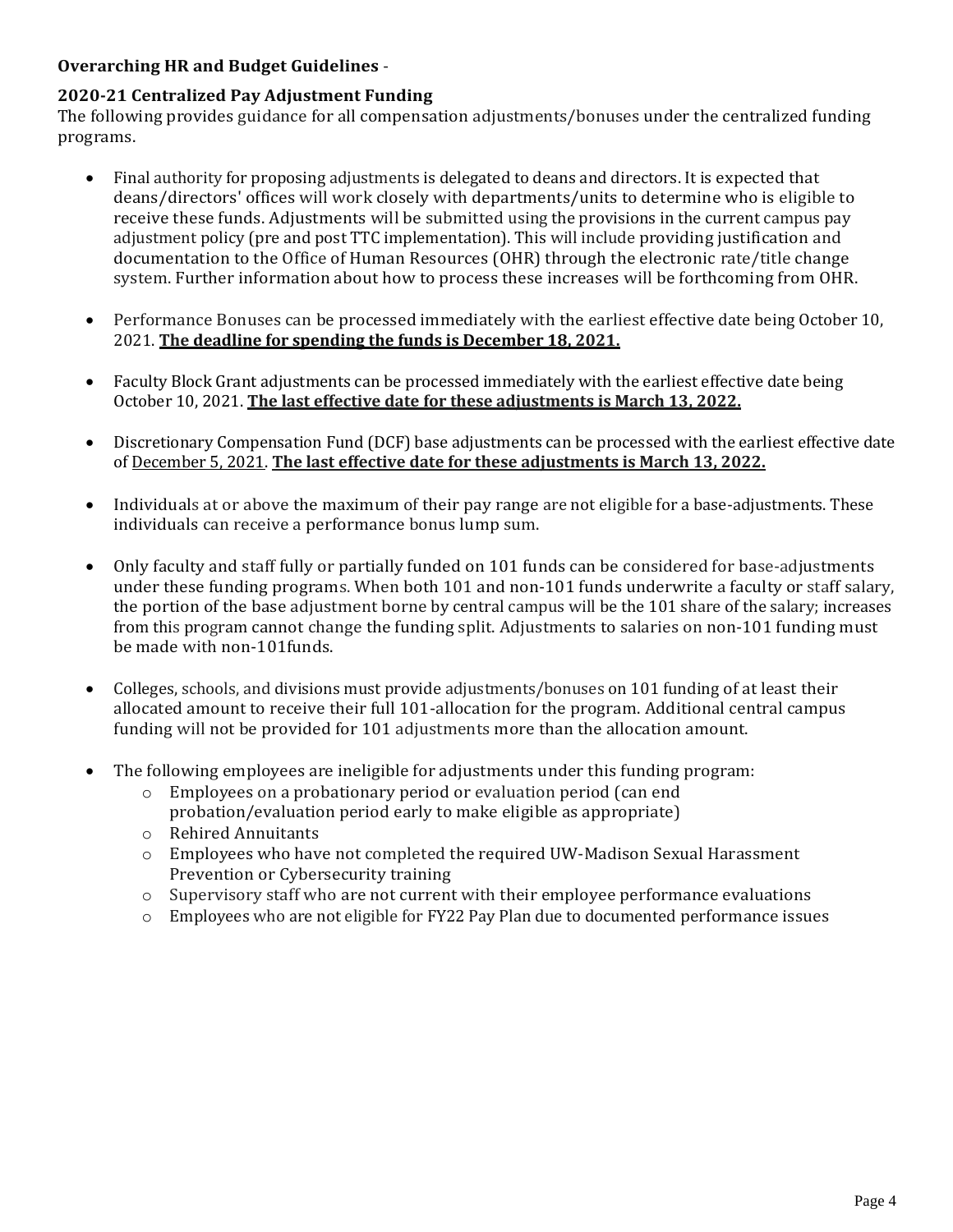# **Overarching HR and Budget Guidelines** -

### **2020-21 Centralized Pay Adjustment Funding**

The following provides guidance for all compensation adjustments/bonuses under the centralized funding programs.

- Final authority for proposing adjustments is delegated to deans and directors. It is expected that deans/directors' offices will work closely with departments/units to determine who is eligible to receive these funds. Adjustments will be submitted using the provisions in the current campus pay adjustment policy (pre and post TTC implementation). This will include providing justification and documentation to the Office of Human Resources (OHR) through the electronic rate/title change system. Further information about how to process these increases will be forthcoming from OHR.
- Performance Bonuses can be processed immediately with the earliest effective date being October 10, 2021. **The deadline for spending the funds is December 18, 2021.**
- Faculty Block Grant adjustments can be processed immediately with the earliest effective date being October 10, 2021. **The last effective date for these adjustments is March 13, 2022.**
- Discretionary Compensation Fund (DCF) base adjustments can be processed with the earliest effective date of December 5, 2021. **The last effective date for these adjustments is March 13, 2022.**
- Individuals at or above the maximum of their pay range are not eligible for a base-adjustments. These individuals can receive a performance bonus lump sum.
- Only faculty and staff fully or partially funded on 101 funds can be considered for base-adjustments under these funding programs. When both 101 and non-101 funds underwrite a faculty or staff salary, the portion of the base adjustment borne by central campus will be the 101 share of the salary; increases from this program cannot change the funding split. Adjustments to salaries on non-101 funding must be made with non-101funds.
- Colleges, schools, and divisions must provide adjustments/bonuses on 101 funding of at least their allocated amount to receive their full 101-allocation for the program. Additional central campus funding will not be provided for 101 adjustments more than the allocation amount.
- The following employees are ineligible for adjustments under this funding program:
	- o Employees on a probationary period or evaluation period (can end probation/evaluation period early to make eligible as appropriate)
	- o Rehired Annuitants
	- o Employees who have not completed the required UW-Madison Sexual Harassment Prevention or Cybersecurity training
	- o Supervisory staff who are not current with their employee performance evaluations
	- o Employees who are not eligible for FY22 Pay Plan due to documented performance issues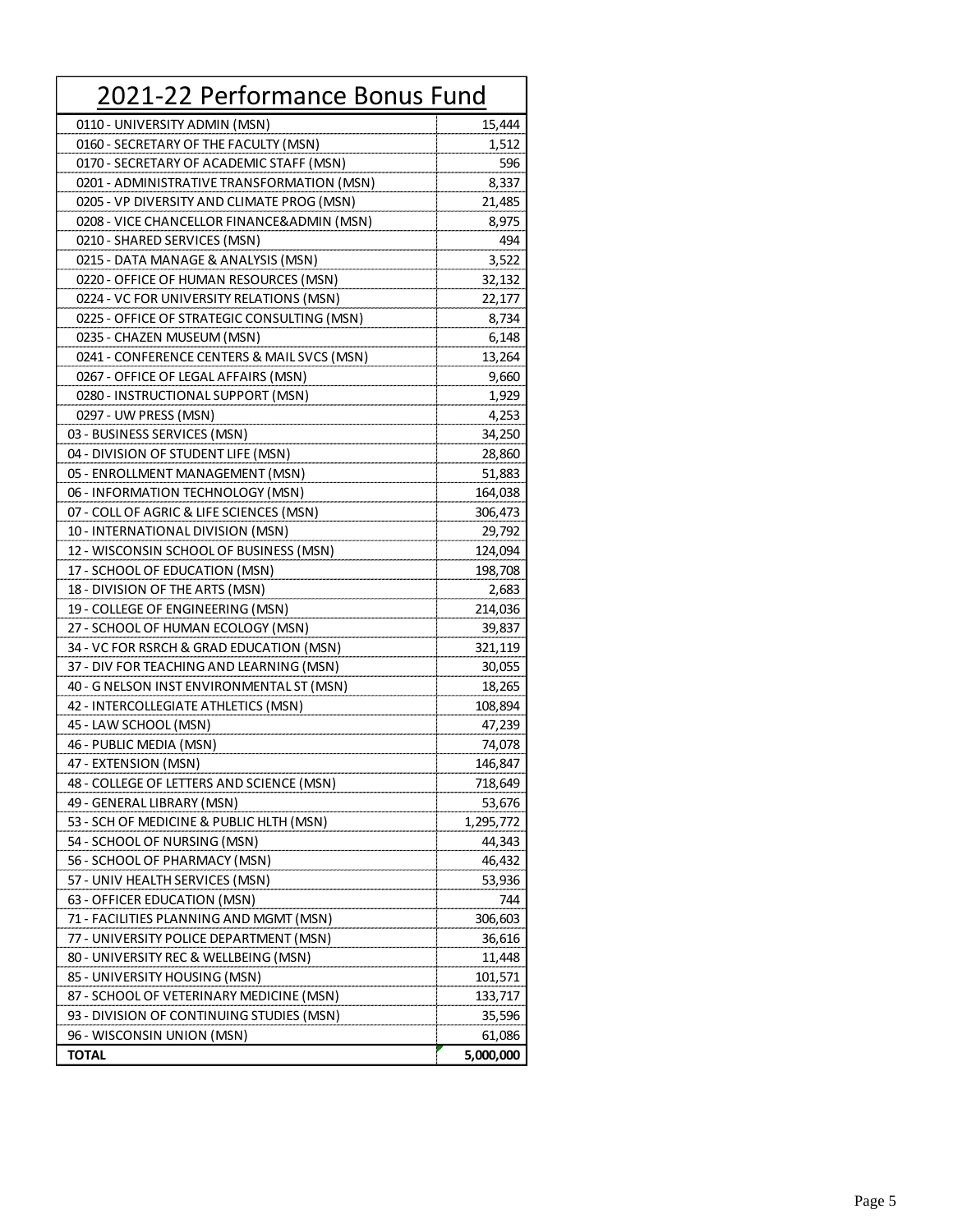| 2021-22 Performance Bonus Fund              |           |
|---------------------------------------------|-----------|
| 0110 - UNIVERSITY ADMIN (MSN)               | 15,444    |
| 0160 - SECRETARY OF THE FACULTY (MSN)       | 1,512     |
| 0170 - SECRETARY OF ACADEMIC STAFF (MSN)    | 596       |
| 0201 - ADMINISTRATIVE TRANSFORMATION (MSN)  | 8,337     |
| 0205 - VP DIVERSITY AND CLIMATE PROG (MSN)  | 21,485    |
| 0208 - VICE CHANCELLOR FINANCE&ADMIN (MSN)  | 8,975     |
| 0210 - SHARED SERVICES (MSN)                | 494       |
| 0215 - DATA MANAGE & ANALYSIS (MSN)         | 3,522     |
| 0220 - OFFICE OF HUMAN RESOURCES (MSN)      | 32,132    |
| 0224 - VC FOR UNIVERSITY RELATIONS (MSN)    | 22,177    |
| 0225 - OFFICE OF STRATEGIC CONSULTING (MSN) | 8,734     |
| 0235 - CHAZEN MUSEUM (MSN)                  | 6,148     |
| 0241 - CONFERENCE CENTERS & MAIL SVCS (MSN) | 13,264    |
| 0267 - OFFICE OF LEGAL AFFAIRS (MSN)        | 9,660     |
| 0280 - INSTRUCTIONAL SUPPORT (MSN)          | 1,929     |
| 0297 - UW PRESS (MSN)                       | 4,253     |
| 03 - BUSINESS SERVICES (MSN)                | 34,250    |
| 04 - DIVISION OF STUDENT LIFE (MSN)         | 28,860    |
| 05 - ENROLLMENT MANAGEMENT (MSN)            | 51,883    |
| 06 - INFORMATION TECHNOLOGY (MSN)           | 164,038   |
| 07 - COLL OF AGRIC & LIFE SCIENCES (MSN)    | 306,473   |
| 10 - INTERNATIONAL DIVISION (MSN)           | 29,792    |
| 12 - WISCONSIN SCHOOL OF BUSINESS (MSN)     | 124,094   |
| 17 - SCHOOL OF EDUCATION (MSN)              | 198,708   |
| 18 - DIVISION OF THE ARTS (MSN)             | 2,683     |
| 19 - COLLEGE OF ENGINEERING (MSN)           | 214,036   |
| 27 - SCHOOL OF HUMAN ECOLOGY (MSN)          | 39,837    |
| 34 - VC FOR RSRCH & GRAD EDUCATION (MSN)    | 321,119   |
| 37 - DIV FOR TEACHING AND LEARNING (MSN)    | 30,055    |
| 40 - G NELSON INST ENVIRONMENTAL ST (MSN)   | 18,265    |
| 42 - INTERCOLLEGIATE ATHLETICS (MSN)        | 108,894   |
| 45 - LAW SCHOOL (MSN)                       | 47,239    |
| 46 - PUBLIC MEDIA (MSN)                     | 74,078    |
| 47 - EXTENSION (MSN)                        | 146,847   |
| 48 - COLLEGE OF LETTERS AND SCIENCE (MSN)   | 718,649   |
| 49 - GENERAL LIBRARY (MSN)                  | 53,676    |
| 53 - SCH OF MEDICINE & PUBLIC HLTH (MSN)    | 1,295,772 |
| 54 - SCHOOL OF NURSING (MSN)                | 44,343    |
| 56 - SCHOOL OF PHARMACY (MSN)               | 46,432    |
| 57 - UNIV HEALTH SERVICES (MSN)             | 53,936    |
| 63 - OFFICER EDUCATION (MSN)                | 744       |
| 71 - FACILITIES PLANNING AND MGMT (MSN)     | 306,603   |
| 77 - UNIVERSITY POLICE DEPARTMENT (MSN)     | 36,616    |
| 80 - UNIVERSITY REC & WELLBEING (MSN)       | 11,448    |
| 85 - UNIVERSITY HOUSING (MSN)               | 101,571   |
| 87 - SCHOOL OF VETERINARY MEDICINE (MSN)    | 133,717   |
| 93 - DIVISION OF CONTINUING STUDIES (MSN)   | 35,596    |
| 96 - WISCONSIN UNION (MSN)                  | 61,086    |
| <b>TOTAL</b>                                | 5,000,000 |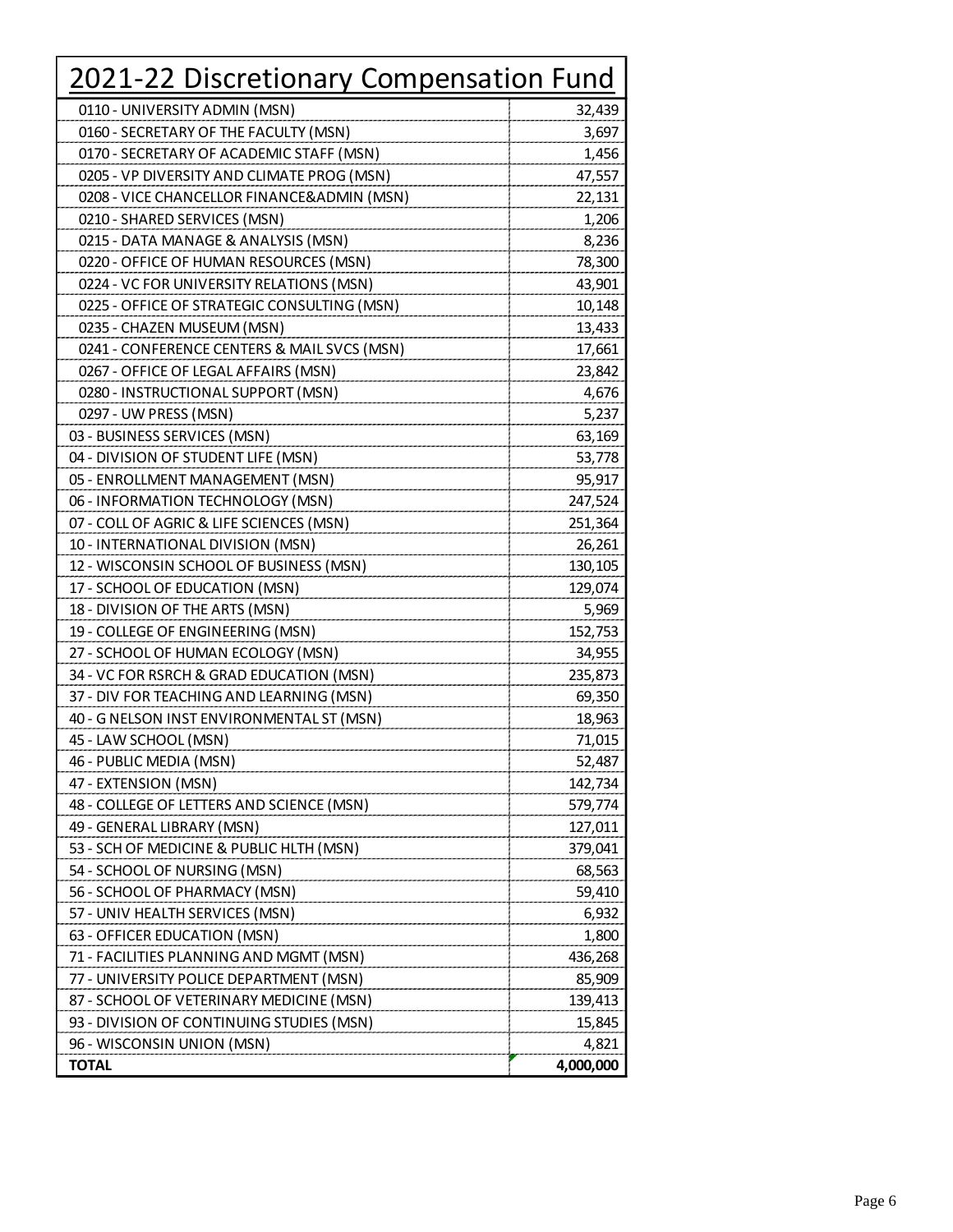| 2021-22 Discretionary Compensation Fund     |           |
|---------------------------------------------|-----------|
| 0110 - UNIVERSITY ADMIN (MSN)               | 32,439    |
| 0160 - SECRETARY OF THE FACULTY (MSN)       | 3,697     |
| 0170 - SECRETARY OF ACADEMIC STAFF (MSN)    | 1,456     |
| 0205 - VP DIVERSITY AND CLIMATE PROG (MSN)  | 47,557    |
| 0208 - VICE CHANCELLOR FINANCE&ADMIN (MSN)  | 22,131    |
| 0210 - SHARED SERVICES (MSN)                | 1,206     |
| 0215 - DATA MANAGE & ANALYSIS (MSN)         | 8,236     |
| 0220 - OFFICE OF HUMAN RESOURCES (MSN)      | 78,300    |
| 0224 - VC FOR UNIVERSITY RELATIONS (MSN)    | 43,901    |
| 0225 - OFFICE OF STRATEGIC CONSULTING (MSN) | 10,148    |
| 0235 - CHAZEN MUSEUM (MSN)                  | 13,433    |
| 0241 - CONFERENCE CENTERS & MAIL SVCS (MSN) | 17,661    |
| 0267 - OFFICE OF LEGAL AFFAIRS (MSN)        | 23,842    |
| 0280 - INSTRUCTIONAL SUPPORT (MSN)          | 4,676     |
| 0297 - UW PRESS (MSN)                       | 5,237     |
| 03 - BUSINESS SERVICES (MSN)                | 63,169    |
| 04 - DIVISION OF STUDENT LIFE (MSN)         | 53,778    |
| 05 - ENROLLMENT MANAGEMENT (MSN)            | 95,917    |
| 06 - INFORMATION TECHNOLOGY (MSN)           | 247,524   |
| 07 - COLL OF AGRIC & LIFE SCIENCES (MSN)    | 251,364   |
| 10 - INTERNATIONAL DIVISION (MSN)           | 26,261    |
| 12 - WISCONSIN SCHOOL OF BUSINESS (MSN)     | 130,105   |
| 17 - SCHOOL OF EDUCATION (MSN)              | 129,074   |
| 18 - DIVISION OF THE ARTS (MSN)             | 5,969     |
| 19 - COLLEGE OF ENGINEERING (MSN)           | 152,753   |
| 27 - SCHOOL OF HUMAN ECOLOGY (MSN)          | 34,955    |
| 34 - VC FOR RSRCH & GRAD EDUCATION (MSN)    | 235,873   |
| 37 - DIV FOR TEACHING AND LEARNING (MSN)    | 69,350    |
| 40 - G NELSON INST ENVIRONMENTAL ST (MSN)   | 18,963    |
| 45 - LAW SCHOOL (MSN)                       | 71,015    |
| 46 - PUBLIC MEDIA (MSN)                     | 52,487    |
| 47 - EXTENSION (MSN)                        | 142,734   |
| 48 - COLLEGE OF LETTERS AND SCIENCE (MSN)   | 579,774   |
| 49 - GENERAL LIBRARY (MSN)                  | 127,011   |
| 53 - SCH OF MEDICINE & PUBLIC HLTH (MSN)    | 379,041   |
| 54 - SCHOOL OF NURSING (MSN)                | 68,563    |
| 56 - SCHOOL OF PHARMACY (MSN)               | 59,410    |
| 57 - UNIV HEALTH SERVICES (MSN)             | 6,932     |
| 63 - OFFICER EDUCATION (MSN)                | 1,800     |
| 71 - FACILITIES PLANNING AND MGMT (MSN)     | 436,268   |
| 77 - UNIVERSITY POLICE DEPARTMENT (MSN)     | 85,909    |
| 87 - SCHOOL OF VETERINARY MEDICINE (MSN)    | 139,413   |
| 93 - DIVISION OF CONTINUING STUDIES (MSN)   | 15,845    |
| 96 - WISCONSIN UNION (MSN)                  | 4,821     |
| <b>TOTAL</b>                                | 4,000,000 |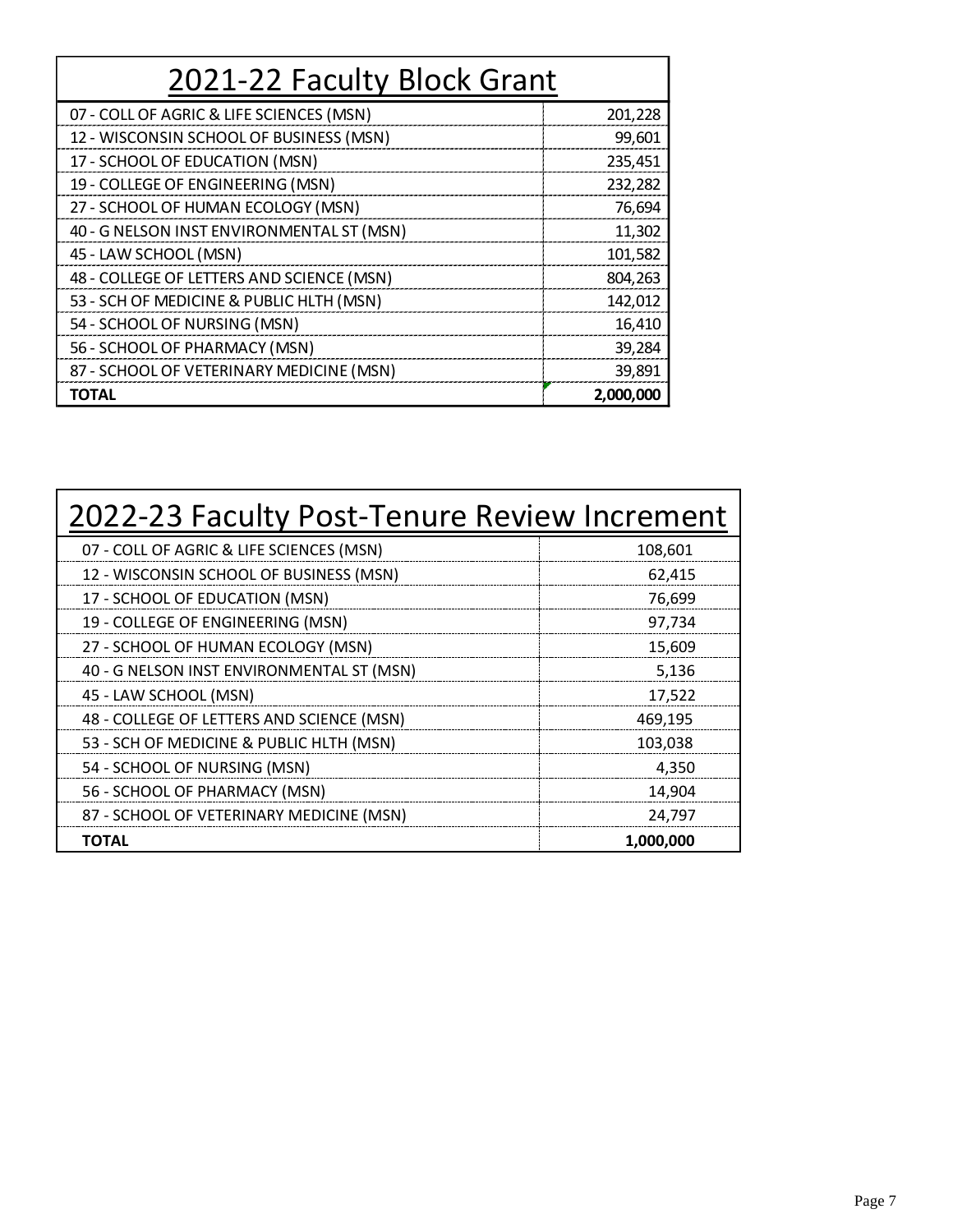| 2021-22 Faculty Block Grant               |           |  |
|-------------------------------------------|-----------|--|
| 07 - COLL OF AGRIC & LIFE SCIENCES (MSN)  | 201,228   |  |
| 12 - WISCONSIN SCHOOL OF BUSINESS (MSN)   | 99,601    |  |
| 17 - SCHOOL OF EDUCATION (MSN)            | 235,451   |  |
| 19 - COLLEGE OF ENGINEERING (MSN)         | 232,282   |  |
| 27 - SCHOOL OF HUMAN ECOLOGY (MSN)        | 76,694    |  |
| 40 - G NELSON INST ENVIRONMENTAL ST (MSN) | 11,302    |  |
| 45 - LAW SCHOOL (MSN)                     | 101,582   |  |
| 48 - COLLEGE OF LETTERS AND SCIENCE (MSN) | 804,263   |  |
| 53 - SCH OF MEDICINE & PUBLIC HLTH (MSN)  | 142,012   |  |
| 54 - SCHOOL OF NURSING (MSN)              | 16,410    |  |
| 56 - SCHOOL OF PHARMACY (MSN)             | 39,284    |  |
| 87 - SCHOOL OF VETERINARY MEDICINE (MSN)  | 39,891    |  |
| <b>TOTAL</b>                              | 2,000,000 |  |

| 2022-23 Faculty Post-Tenure Review Increment |           |  |
|----------------------------------------------|-----------|--|
| 07 - COLL OF AGRIC & LIFE SCIENCES (MSN)     | 108,601   |  |
| 12 - WISCONSIN SCHOOL OF BUSINESS (MSN)      | 62,415    |  |
| 17 - SCHOOL OF EDUCATION (MSN)               | 76,699    |  |
| 19 - COLLEGE OF ENGINEERING (MSN)            | 97,734    |  |
| 27 - SCHOOL OF HUMAN ECOLOGY (MSN)           | 15,609    |  |
| 40 - G NELSON INST ENVIRONMENTAL ST (MSN)    | 5,136     |  |
| 45 - LAW SCHOOL (MSN)                        | 17,522    |  |
| 48 - COLLEGE OF LETTERS AND SCIENCE (MSN)    | 469,195   |  |
| 53 - SCH OF MEDICINE & PUBLIC HLTH (MSN)     | 103,038   |  |
| 54 - SCHOOL OF NURSING (MSN)                 | 4,350     |  |
| 56 - SCHOOL OF PHARMACY (MSN)                | 14,904    |  |
| 87 - SCHOOL OF VETERINARY MEDICINE (MSN)     | 24,797    |  |
| <b>TOTAL</b>                                 | 1,000,000 |  |